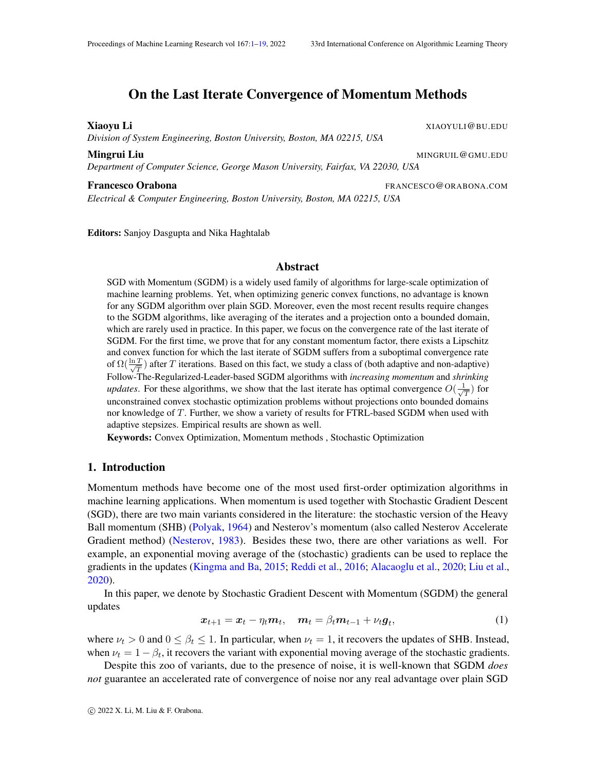# On the Last Iterate Convergence of Momentum Methods

#### <span id="page-0-0"></span>Xiaoyu Li XIAOYULI@BU.EDU

*Division of System Engineering, Boston University, Boston, MA 02215, USA*

*Department of Computer Science, George Mason University, Fairfax, VA 22030, USA*

#### Francesco Orabona FRANCESCO @ORABONA.COM

*Electrical & Computer Engineering, Boston University, Boston, MA 02215, USA*

Editors: Sanjoy Dasgupta and Nika Haghtalab

#### Abstract

SGD with Momentum (SGDM) is a widely used family of algorithms for large-scale optimization of machine learning problems. Yet, when optimizing generic convex functions, no advantage is known for any SGDM algorithm over plain SGD. Moreover, even the most recent results require changes to the SGDM algorithms, like averaging of the iterates and a projection onto a bounded domain, which are rarely used in practice. In this paper, we focus on the convergence rate of the last iterate of SGDM. For the first time, we prove that for any constant momentum factor, there exists a Lipschitz and convex function for which the last iterate of SGDM suffers from a suboptimal convergence rate of  $\Omega(\frac{\ln T}{\sqrt{T}})$  $\frac{T}{T}$ ) after T iterations. Based on this fact, we study a class of (both adaptive and non-adaptive) Follow-The-Regularized-Leader-based SGDM algorithms with *increasing momentum* and *shrinking updates*. For these algorithms, we show that the last iterate has optimal convergence  $O(\frac{1}{\sqrt{2}})$  $(\frac{1}{T})$  for unconstrained convex stochastic optimization problems without projections onto bounded domains nor knowledge of T. Further, we show a variety of results for FTRL-based SGDM when used with adaptive stepsizes. Empirical results are shown as well.

Keywords: Convex Optimization, Momentum methods , Stochastic Optimization

#### 1. Introduction

Momentum methods have become one of the most used first-order optimization algorithms in machine learning applications. When momentum is used together with Stochastic Gradient Descent (SGD), there are two main variants considered in the literature: the stochastic version of the Heavy Ball momentum (SHB) [\(Polyak,](#page-15-0) [1964\)](#page-15-0) and Nesterov's momentum (also called Nesterov Accelerate Gradient method) [\(Nesterov,](#page-15-1) [1983\)](#page-15-1). Besides these two, there are other variations as well. For example, an exponential moving average of the (stochastic) gradients can be used to replace the gradients in the updates [\(Kingma and Ba,](#page-14-0) [2015;](#page-14-0) [Reddi et al.,](#page-15-2) [2016;](#page-15-2) [Alacaoglu et al.,](#page-13-0) [2020;](#page-13-0) [Liu et al.,](#page-14-1) [2020\)](#page-14-1).

In this paper, we denote by Stochastic Gradient Descent with Momentum (SGDM) the general updates

<span id="page-0-1"></span>
$$
\boldsymbol{x}_{t+1} = \boldsymbol{x}_t - \eta_t \boldsymbol{m}_t, \quad \boldsymbol{m}_t = \beta_t \boldsymbol{m}_{t-1} + \nu_t \boldsymbol{g}_t,\tag{1}
$$

where  $\nu_t > 0$  and  $0 \le \beta_t \le 1$ . In particular, when  $\nu_t = 1$ , it recovers the updates of SHB. Instead, when  $\nu_t = 1 - \beta_t$ , it recovers the variant with exponential moving average of the stochastic gradients.

Despite this zoo of variants, due to the presence of noise, it is well-known that SGDM *does not* guarantee an accelerated rate of convergence of noise nor any real advantage over plain SGD

**Mingrui Liu** MINGRUIL@GMU.EDU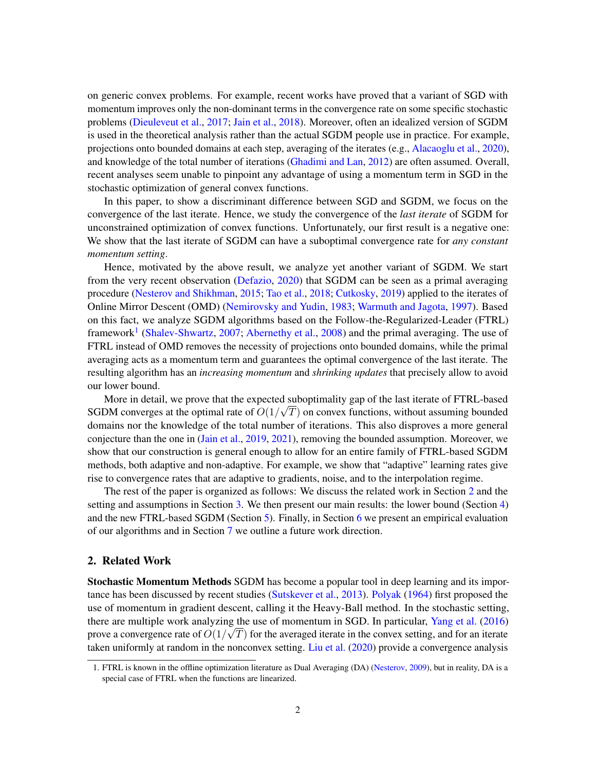on generic convex problems. For example, recent works have proved that a variant of SGD with momentum improves only the non-dominant terms in the convergence rate on some specific stochastic problems [\(Dieuleveut et al.,](#page-13-1) [2017;](#page-13-1) [Jain et al.,](#page-14-2) [2018\)](#page-14-2). Moreover, often an idealized version of SGDM is used in the theoretical analysis rather than the actual SGDM people use in practice. For example, projections onto bounded domains at each step, averaging of the iterates (e.g., [Alacaoglu et al.,](#page-13-0) [2020\)](#page-13-0), and knowledge of the total number of iterations [\(Ghadimi and Lan,](#page-13-2) [2012\)](#page-13-2) are often assumed. Overall, recent analyses seem unable to pinpoint any advantage of using a momentum term in SGD in the stochastic optimization of general convex functions.

In this paper, to show a discriminant difference between SGD and SGDM, we focus on the convergence of the last iterate. Hence, we study the convergence of the *last iterate* of SGDM for unconstrained optimization of convex functions. Unfortunately, our first result is a negative one: We show that the last iterate of SGDM can have a suboptimal convergence rate for *any constant momentum setting*.

Hence, motivated by the above result, we analyze yet another variant of SGDM. We start from the very recent observation [\(Defazio,](#page-13-3) [2020\)](#page-13-3) that SGDM can be seen as a primal averaging procedure [\(Nesterov and Shikhman,](#page-15-3) [2015;](#page-15-3) [Tao et al.,](#page-15-4) [2018;](#page-15-4) [Cutkosky,](#page-13-4) [2019\)](#page-13-4) applied to the iterates of Online Mirror Descent (OMD) [\(Nemirovsky and Yudin,](#page-15-5) [1983;](#page-15-5) [Warmuth and Jagota,](#page-16-0) [1997\)](#page-16-0). Based on this fact, we analyze SGDM algorithms based on the Follow-the-Regularized-Leader (FTRL) framework<sup>[1](#page-1-0)</sup> [\(Shalev-Shwartz,](#page-15-6) [2007;](#page-15-6) [Abernethy et al.,](#page-13-5) [2008\)](#page-13-5) and the primal averaging. The use of FTRL instead of OMD removes the necessity of projections onto bounded domains, while the primal averaging acts as a momentum term and guarantees the optimal convergence of the last iterate. The resulting algorithm has an *increasing momentum* and *shrinking updates* that precisely allow to avoid our lower bound.

More in detail, we prove that the expected suboptimality gap of the last iterate of FTRL-based SGDM converges at the optimal rate of  $O(1/\sqrt{T})$  on convex functions, without assuming bounded domains nor the knowledge of the total number of iterations. This also disproves a more general conjecture than the one in [\(Jain et al.,](#page-14-3) [2019,](#page-14-3) [2021\)](#page-14-4), removing the bounded assumption. Moreover, we show that our construction is general enough to allow for an entire family of FTRL-based SGDM methods, both adaptive and non-adaptive. For example, we show that "adaptive" learning rates give rise to convergence rates that are adaptive to gradients, noise, and to the interpolation regime.

The rest of the paper is organized as follows: We discuss the related work in Section [2](#page-1-1) and the setting and assumptions in Section [3.](#page-3-0) We then present our main results: the lower bound (Section [4\)](#page-3-1) and the new FTRL-based SGDM (Section [5\)](#page-6-0). Finally, in Section [6](#page-11-0) we present an empirical evaluation of our algorithms and in Section [7](#page-12-0) we outline a future work direction.

## <span id="page-1-1"></span>2. Related Work

Stochastic Momentum Methods SGDM has become a popular tool in deep learning and its impor-tance has been discussed by recent studies [\(Sutskever et al.,](#page-15-7) [2013\)](#page-15-7). [Polyak](#page-15-0) [\(1964\)](#page-15-0) first proposed the use of momentum in gradient descent, calling it the Heavy-Ball method. In the stochastic setting, there are multiple work analyzing the use of momentum in SGD. In particular, [Yang et al.](#page-16-1) [\(2016\)](#page-16-1) prove a convergence rate of  $O(1/\sqrt{T})$  for the averaged iterate in the convex setting, and for an iterate taken uniformly at random in the nonconvex setting. [Liu et al.](#page-14-1) [\(2020\)](#page-14-1) provide a convergence analysis

<span id="page-1-0"></span><sup>1.</sup> FTRL is known in the offline optimization literature as Dual Averaging (DA) [\(Nesterov,](#page-15-8) [2009\)](#page-15-8), but in reality, DA is a special case of FTRL when the functions are linearized.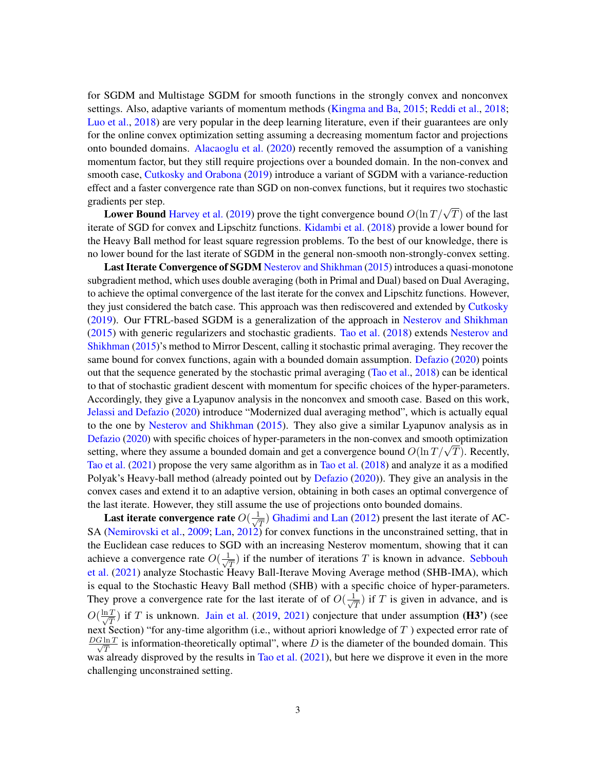for SGDM and Multistage SGDM for smooth functions in the strongly convex and nonconvex settings. Also, adaptive variants of momentum methods [\(Kingma and Ba,](#page-14-0) [2015;](#page-14-0) [Reddi et al.,](#page-15-9) [2018;](#page-15-9) [Luo et al.,](#page-14-5) [2018\)](#page-14-5) are very popular in the deep learning literature, even if their guarantees are only for the online convex optimization setting assuming a decreasing momentum factor and projections onto bounded domains. [Alacaoglu et al.](#page-13-0) [\(2020\)](#page-13-0) recently removed the assumption of a vanishing momentum factor, but they still require projections over a bounded domain. In the non-convex and smooth case, [Cutkosky and Orabona](#page-13-6) [\(2019\)](#page-13-6) introduce a variant of SGDM with a variance-reduction effect and a faster convergence rate than SGD on non-convex functions, but it requires two stochastic gradients per step.

ilents per step.<br>**Lower Bound** [Harvey et al.](#page-13-7) [\(2019\)](#page-13-7) prove the tight convergence bound  $O(\ln T / \sqrt{T})$  of the last iterate of SGD for convex and Lipschitz functions. [Kidambi et al.](#page-14-6) [\(2018\)](#page-14-6) provide a lower bound for the Heavy Ball method for least square regression problems. To the best of our knowledge, there is no lower bound for the last iterate of SGDM in the general non-smooth non-strongly-convex setting.

Last Iterate Convergence of SGDM [Nesterov and Shikhman](#page-15-3) [\(2015\)](#page-15-3) introduces a quasi-monotone subgradient method, which uses double averaging (both in Primal and Dual) based on Dual Averaging, to achieve the optimal convergence of the last iterate for the convex and Lipschitz functions. However, they just considered the batch case. This approach was then rediscovered and extended by [Cutkosky](#page-13-4) [\(2019\)](#page-13-4). Our FTRL-based SGDM is a generalization of the approach in [Nesterov and Shikhman](#page-15-3) [\(2015\)](#page-15-3) with generic regularizers and stochastic gradients. [Tao et al.](#page-15-4) [\(2018\)](#page-15-4) extends [Nesterov and](#page-15-3) [Shikhman](#page-15-3) [\(2015\)](#page-15-3)'s method to Mirror Descent, calling it stochastic primal averaging. They recover the same bound for convex functions, again with a bounded domain assumption. [Defazio](#page-13-3) [\(2020\)](#page-13-3) points out that the sequence generated by the stochastic primal averaging [\(Tao et al.,](#page-15-4) [2018\)](#page-15-4) can be identical to that of stochastic gradient descent with momentum for specific choices of the hyper-parameters. Accordingly, they give a Lyapunov analysis in the nonconvex and smooth case. Based on this work, [Jelassi and Defazio](#page-14-7) [\(2020\)](#page-14-7) introduce "Modernized dual averaging method", which is actually equal to the one by [Nesterov and Shikhman](#page-15-3) [\(2015\)](#page-15-3). They also give a similar Lyapunov analysis as in [Defazio](#page-13-3) [\(2020\)](#page-13-3) with specific choices of hyper-parameters in the non-convex and smooth optimization Detazio (2020) with spectric choices of hyper-parameters in the non-convex and smooth optimization setting, where they assume a bounded domain and get a convergence bound  $O(\ln T/\sqrt{T})$ . Recently, [Tao et al.](#page-15-10) [\(2021\)](#page-15-10) propose the very same algorithm as in [Tao et al.](#page-15-4) [\(2018\)](#page-15-4) and analyze it as a modified Polyak's Heavy-ball method (already pointed out by [Defazio](#page-13-3) [\(2020\)](#page-13-3)). They give an analysis in the convex cases and extend it to an adaptive version, obtaining in both cases an optimal convergence of the last iterate. However, they still assume the use of projections onto bounded domains.

Last iterate convergence rate  $O(\frac{-1}{\sqrt{2}})$  $\frac{1}{T}$ ) [Ghadimi and Lan](#page-13-2) [\(2012\)](#page-13-2) present the last iterate of AC-SA [\(Nemirovski et al.,](#page-14-8) [2009;](#page-14-8) [Lan,](#page-14-9) [2012\)](#page-14-9) for convex functions in the unconstrained setting, that in the Euclidean case reduces to SGD with an increasing Nesterov momentum, showing that it can achieve a convergence rate  $O(\frac{1}{\sqrt{2}})$  $\frac{1}{T}$ ) if the number of iterations T is known in advance. [Sebbouh](#page-15-11) [et al.](#page-15-11) [\(2021\)](#page-15-11) analyze Stochastic Heavy Ball-Iterave Moving Average method (SHB-IMA), which is equal to the Stochastic Heavy Ball method (SHB) with a specific choice of hyper-parameters. They prove a convergence rate for the last iterate of of  $O(\frac{1}{\sqrt{2}})$  $\equiv_{\overline{T}}$ ) if T is given in advance, and is  $O(\frac{\ln T}{\sqrt{T}})$  if T is unknown. [Jain et al.](#page-14-3) [\(2019,](#page-14-3) [2021\)](#page-14-4) conjecture that under assumption (H3') (see  $\sqrt{T}$  is the summontangle of  $\frac{d}{dt}$  (1991),  $\frac{d}{dt}$  conjugated that the summon (i.e.) (see  $\frac{DG\ln T}{\sqrt{m}}$  $\frac{\ln T}{T}$  is information-theoretically optimal", where D is the diameter of the bounded domain. This was already disproved by the results in [Tao et al.](#page-15-10) [\(2021\)](#page-15-10), but here we disprove it even in the more challenging unconstrained setting.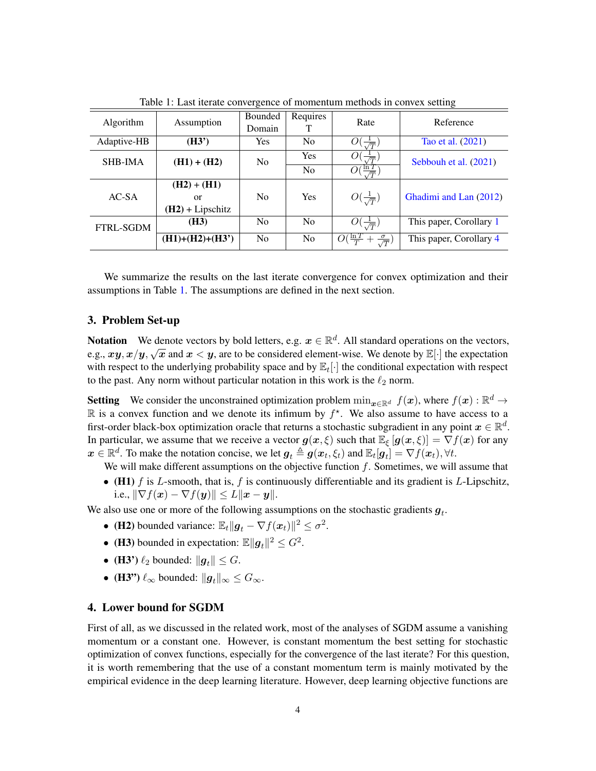<span id="page-3-2"></span>

| Algorithm      | Assumption                                | Bounded<br>Domain | Requires       | Rate                                                      | Reference               |
|----------------|-------------------------------------------|-------------------|----------------|-----------------------------------------------------------|-------------------------|
| Adaptive-HB    | (H3')                                     | Yes               | N <sub>0</sub> | $O(\frac{1}{\sqrt{T}})$                                   | Tao et al. (2021)       |
| <b>SHB-IMA</b> | $(H1) + (H2)$                             | N <sub>0</sub>    | <b>Yes</b>     | $O(\frac{1}{\sqrt{T}})$                                   | Sebbouh et al. (2021)   |
|                |                                           |                   | No             | $O(\frac{\ln T}{\sqrt{T}})$                               |                         |
| $AC-SA$        | $(H2) + (H1)$<br>or<br>$(H2)$ + Lipschitz | N <sub>0</sub>    | <b>Yes</b>     | $O(\frac{1}{\sqrt{T}})$                                   | Ghadimi and Lan (2012)  |
| FTRL-SGDM      | (H <sub>3</sub> )                         | N <sub>0</sub>    | N <sub>0</sub> | $O(\frac{1}{\sqrt{T}})$                                   | This paper, Corollary 1 |
|                | $(H1)+(H2)+(H3')$                         | N <sub>0</sub>    | N <sub>o</sub> | $\overline{O(\frac{\ln T}{T} + \frac{\sigma}{\sqrt{T}})}$ | This paper, Corollary 4 |

Table 1: Last iterate convergence of momentum methods in convex setting

We summarize the results on the last iterate convergence for convex optimization and their assumptions in Table [1.](#page-3-2) The assumptions are defined in the next section.

## <span id="page-3-0"></span>3. Problem Set-up

**Notation** We denote vectors by bold letters, e.g.  $x \in \mathbb{R}^d$ . All standard operations on the vectors, e.g.,  $\boldsymbol{x} \boldsymbol{y}, \boldsymbol{x} / \boldsymbol{y},$  $\sqrt{x}$  and  $x < y$ , are to be considered element-wise. We denote by  $\mathbb{E}[\cdot]$  the expectation with respect to the underlying probability space and by  $\mathbb{E}_t[\cdot]$  the conditional expectation with respect to the past. Any norm without particular notation in this work is the  $\ell_2$  norm.

Setting We consider the unconstrained optimization problem  $\min_{\bm{x} \in \mathbb{R}^d} f(\bm{x})$ , where  $f(\bm{x}) : \mathbb{R}^d \to$  $\mathbb R$  is a convex function and we denote its infimum by  $f^*$ . We also assume to have access to a first-order black-box optimization oracle that returns a stochastic subgradient in any point  $x \in \mathbb{R}^d$ . In particular, we assume that we receive a vector  $g(x, \xi)$  such that  $\mathbb{E}_{\xi} [g(x, \xi)] = \nabla f(x)$  for any  $x \in \mathbb{R}^d$ . To make the notation concise, we let  $g_t \triangleq g(x_t, \xi_t)$  and  $\mathbb{E}_t[g_t] = \nabla f(x_t), \forall t$ .

We will make different assumptions on the objective function  $f$ . Sometimes, we will assume that

• (H1)  $f$  is L-smooth, that is,  $f$  is continuously differentiable and its gradient is L-Lipschitz, i.e.,  $\|\nabla f(\boldsymbol{x}) - \nabla f(\boldsymbol{y})\| \le L \|\boldsymbol{x} - \boldsymbol{y}\|.$ 

We also use one or more of the following assumptions on the stochastic gradients  $g_t$ .

- (H2) bounded variance:  $\mathbb{E}_t ||g_t \nabla f(\boldsymbol{x}_t)||^2 \leq \sigma^2$ .
- (H3) bounded in expectation:  $\mathbb{E} ||g_t||^2 \leq G^2$ .
- (H3')  $\ell_2$  bounded:  $||g_t|| \leq G$ .
- (H3")  $\ell_{\infty}$  bounded:  $||g_t||_{\infty} \leq G_{\infty}$ .

## <span id="page-3-1"></span>4. Lower bound for SGDM

First of all, as we discussed in the related work, most of the analyses of SGDM assume a vanishing momentum or a constant one. However, is constant momentum the best setting for stochastic optimization of convex functions, especially for the convergence of the last iterate? For this question, it is worth remembering that the use of a constant momentum term is mainly motivated by the empirical evidence in the deep learning literature. However, deep learning objective functions are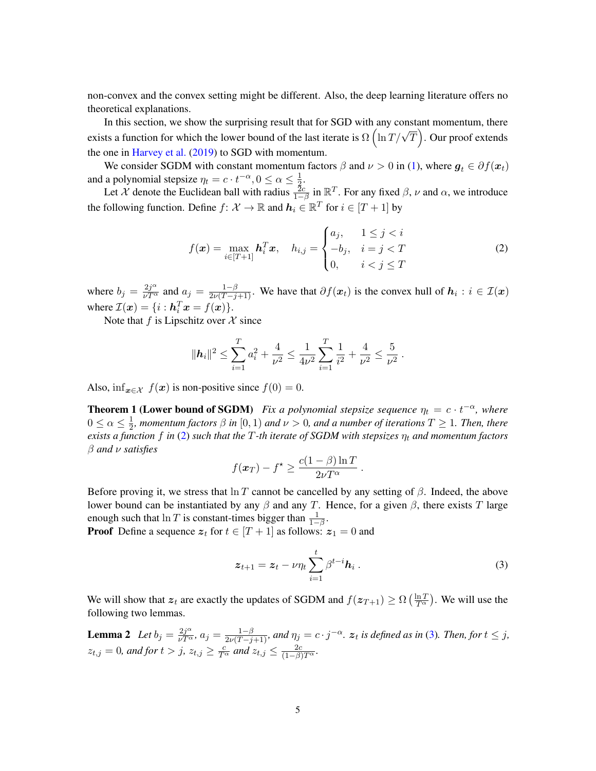non-convex and the convex setting might be different. Also, the deep learning literature offers no theoretical explanations.

In this section, we show the surprising result that for SGD with any constant momentum, there in this section, we show the surprising result that for SOD with any constant momentum, there exists a function for which the lower bound of the last iterate is  $\Omega\left(\ln T/\sqrt{T}\right)$ . Our proof extends the one in [Harvey et al.](#page-13-7) [\(2019\)](#page-13-7) to SGD with momentum.

We consider SGDM with constant momentum factors  $\beta$  and  $\nu > 0$  in [\(1\)](#page-0-1), where  $g_t \in \partial f(x_t)$ and a polynomial stepsize  $\eta_t = c \cdot t^{-\alpha}, 0 \leq \alpha \leq \frac{1}{2}$  $\frac{1}{2}$ .

Let X denote the Euclidean ball with radius  $\frac{2c}{1-\beta}$  in  $\mathbb{R}^T$ . For any fixed  $\beta$ ,  $\nu$  and  $\alpha$ , we introduce the following function. Define  $f: \mathcal{X} \to \mathbb{R}$  and  $h_i \in \mathbb{R}^T$  for  $i \in [T+1]$  by

$$
f(\boldsymbol{x}) = \max_{i \in [T+1]} \boldsymbol{h}_i^T \boldsymbol{x}, \quad h_{i,j} = \begin{cases} a_j, & 1 \le j < i \\ -b_j, & i = j < T \\ 0, & i < j \le T \end{cases}
$$
 (2)

where  $b_j = \frac{2j^{\alpha}}{\nu T^{\alpha}}$  and  $a_j = \frac{1-\beta}{2\nu (T-j+1)}$ . We have that  $\partial f(x_t)$  is the convex hull of  $h_i : i \in I(x)$ where  $\mathcal{I}(\boldsymbol{x}) = \{i : \boldsymbol{h}_i^T \boldsymbol{x} = f(\boldsymbol{x})\}.$ 

Note that f is Lipschitz over  $X$  since

$$
\|\boldsymbol{h}_i\|^2 \leq \sum_{i=1}^T a_i^2 + \frac{4}{\nu^2} \leq \frac{1}{4\nu^2} \sum_{i=1}^T \frac{1}{i^2} + \frac{4}{\nu^2} \leq \frac{5}{\nu^2}.
$$

Also, inf $\mathbf{x} \in \mathcal{X}$   $f(\mathbf{x})$  is non-positive since  $f(0) = 0$ .

**Theorem 1 (Lower bound of SGDM)** *Fix a polynomial stepsize sequence*  $\eta_t = c \cdot t^{-\alpha}$ , where  $0 \leq \alpha \leq \frac{1}{2}$  $\frac{1}{2}$ , momentum factors  $\beta$  in  $[0,1)$  and  $\nu > 0$ , and a number of iterations  $T \geq 1$ . Then, there *exists a function* f *in* [\(2\)](#page-4-0) *such that the* T-th *iterate of SGDM with stepsizes*  $\eta_t$  *and momentum factors* β *and* ν *satisfies*

$$
f(\boldsymbol{x}_T) - f^{\star} \ge \frac{c(1-\beta)\ln T}{2\nu T^{\alpha}}
$$

Before proving it, we stress that  $\ln T$  cannot be cancelled by any setting of  $\beta$ . Indeed, the above lower bound can be instantiated by any  $\beta$  and any T. Hence, for a given  $\beta$ , there exists T large enough such that  $\ln T$  is constant-times bigger than  $\frac{1}{1-\beta}$ .

**Proof** Define a sequence  $z_t$  for  $t \in [T + 1]$  as follows:  $z_1 = 0$  and

<span id="page-4-2"></span>
$$
\boldsymbol{z}_{t+1} = \boldsymbol{z}_t - \nu \eta_t \sum_{i=1}^t \beta^{t-i} \boldsymbol{h}_i . \tag{3}
$$

<span id="page-4-3"></span><span id="page-4-1"></span><span id="page-4-0"></span>.

We will show that  $z_t$  are exactly the updates of SGDM and  $f(z_{T+1}) \ge \Omega(\frac{\ln T}{T^{\alpha}})$ . We will use the following two lemmas.

**Lemma 2** Let  $b_j = \frac{2j^{\alpha}}{\nu T^{\alpha}}$ ,  $a_j = \frac{1-\beta}{2\nu(T-j+1)}$ , and  $\eta_j = c \cdot j^{-\alpha}$ .  $z_t$  is defined as in [\(3\)](#page-4-1). Then, for  $t \leq j$ ,  $z_{t,j} = 0$ , and for  $t > j$ ,  $z_{t,j} \ge \frac{c}{T^{\alpha}}$  and  $z_{t,j} \le \frac{2c}{(1-\beta)T^{\alpha}}$ .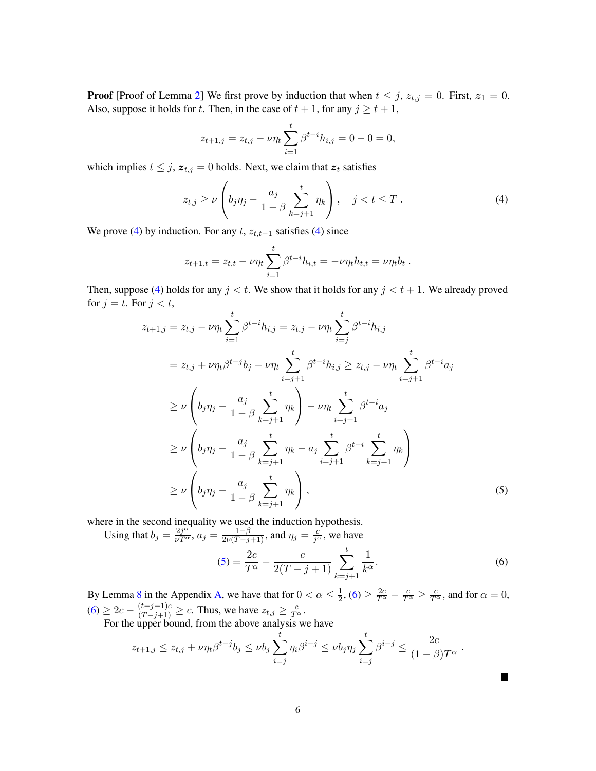**Proof** [Proof of Lemma [2\]](#page-4-2) We first prove by induction that when  $t \leq j$ ,  $z_{t,j} = 0$ . First,  $z_1 = 0$ . Also, suppose it holds for t. Then, in the case of  $t + 1$ , for any  $j \ge t + 1$ ,

<span id="page-5-0"></span>
$$
z_{t+1,j} = z_{t,j} - \nu \eta_t \sum_{i=1}^t \beta^{t-i} h_{i,j} = 0 - 0 = 0,
$$

which implies  $t \leq j$ ,  $z_{t,j} = 0$  holds. Next, we claim that  $z_t$  satisfies

$$
z_{t,j} \ge \nu \left( b_j \eta_j - \frac{a_j}{1-\beta} \sum_{k=j+1}^t \eta_k \right), \quad j < t \le T.
$$
 (4)

We prove [\(4\)](#page-5-0) by induction. For any  $t$ ,  $z_{t,t-1}$  satisfies (4) since

$$
z_{t+1,t} = z_{t,t} - \nu \eta_t \sum_{i=1}^t \beta^{t-i} h_{i,t} = -\nu \eta_t h_{t,t} = \nu \eta_t b_t.
$$

Then, suppose [\(4\)](#page-5-0) holds for any  $j < t$ . We show that it holds for any  $j < t + 1$ . We already proved for  $j = t$ . For  $j < t$ ,

$$
z_{t+1,j} = z_{t,j} - \nu \eta_t \sum_{i=1}^t \beta^{t-i} h_{i,j} = z_{t,j} - \nu \eta_t \sum_{i=j}^t \beta^{t-i} h_{i,j}
$$
  
\n
$$
= z_{t,j} + \nu \eta_t \beta^{t-j} b_j - \nu \eta_t \sum_{i=j+1}^t \beta^{t-i} h_{i,j} \ge z_{t,j} - \nu \eta_t \sum_{i=j+1}^t \beta^{t-i} a_j
$$
  
\n
$$
\ge \nu \left( b_j \eta_j - \frac{a_j}{1-\beta} \sum_{k=j+1}^t \eta_k \right) - \nu \eta_t \sum_{i=j+1}^t \beta^{t-i} a_j
$$
  
\n
$$
\ge \nu \left( b_j \eta_j - \frac{a_j}{1-\beta} \sum_{k=j+1}^t \eta_k - a_j \sum_{i=j+1}^t \beta^{t-i} \sum_{k=j+1}^t \eta_k \right)
$$
  
\n
$$
\ge \nu \left( b_j \eta_j - \frac{a_j}{1-\beta} \sum_{k=j+1}^t \eta_k \right),
$$
 (5)

where in the second inequality we used the induction hypothesis.

Using that 
$$
b_j = \frac{2j^{\alpha}}{\nu T^{\alpha}}
$$
,  $a_j = \frac{1-\beta}{2\nu(T-j+1)}$ , and  $\eta_j = \frac{c}{j^{\alpha}}$ , we have  
\n
$$
(5) = \frac{2c}{T^{\alpha}} - \frac{c}{2(T-j+1)} \sum_{k=j+1}^{t} \frac{1}{k^{\alpha}}.
$$
\n(6)

<span id="page-5-2"></span><span id="page-5-1"></span>.

 $\blacksquare$ 

By Lemma [8](#page-16-2) in the Appendix [A,](#page-16-3) we have that for  $0 < \alpha \leq \frac{1}{2}$  $\frac{1}{2}$ ,  $(6) \geq \frac{2c}{T^{\alpha}} - \frac{c}{T^{\alpha}} \geq \frac{c}{T^{\alpha}}$  $(6) \geq \frac{2c}{T^{\alpha}} - \frac{c}{T^{\alpha}} \geq \frac{c}{T^{\alpha}}$ , and for  $\alpha = 0$ ,  $(6) \geq 2c - \frac{(t-j-1)c}{(T-j+1)} \geq c$  $(6) \geq 2c - \frac{(t-j-1)c}{(T-j+1)} \geq c$ . Thus, we have  $z_{t,j} \geq \frac{c}{T^{\alpha}}$ .

<span id="page-5-3"></span>For the upper bound, from the above analysis we have

$$
z_{t+1,j} \le z_{t,j} + \nu \eta_t \beta^{t-j} b_j \le \nu b_j \sum_{i=j}^t \eta_i \beta^{i-j} \le \nu b_j \eta_j \sum_{i=j}^t \beta^{i-j} \le \frac{2c}{(1-\beta)T^{\alpha}}
$$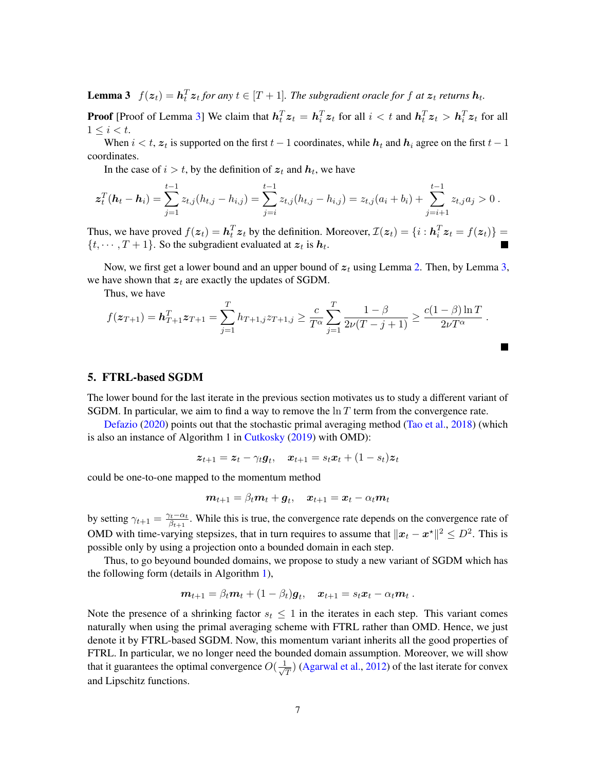**Lemma 3**  $f(z_t) = h_t^T z_t$  for any  $t \in [T + 1]$ . The subgradient oracle for f at  $z_t$  returns  $h_t$ .

**Proof** [Proof of Lemma [3\]](#page-5-3) We claim that  $h_t^T z_t = h_i^T z_t$  for all  $i < t$  and  $h_t^T z_t > h_i^T z_t$  for all  $1 \leq i < t$ .

When  $i < t$ ,  $z_t$  is supported on the first  $t - 1$  coordinates, while  $h_t$  and  $h_i$  agree on the first  $t - 1$ coordinates.

In the case of  $i > t$ , by the definition of  $z_t$  and  $h_t$ , we have

$$
\boldsymbol{z}_t^T(\boldsymbol{h}_t - \boldsymbol{h}_i) = \sum_{j=1}^{t-1} z_{t,j}(h_{t,j} - h_{i,j}) = \sum_{j=i}^{t-1} z_{t,j}(h_{t,j} - h_{i,j}) = z_{t,j}(a_i + b_i) + \sum_{j=i+1}^{t-1} z_{t,j}a_j > 0.
$$

Thus, we have proved  $f(z_t) = h_t^T z_t$  by the definition. Moreover,  $\mathcal{I}(z_t) = \{i : h_i^T z_t = f(z_t)\} =$  $\{t, \dots, T+1\}$ . So the subgradient evaluated at  $z_t$  is  $h_t$ .

Now, we first get a lower bound and an upper bound of  $z_t$  using Lemma [2.](#page-4-2) Then, by Lemma [3,](#page-5-3) we have shown that  $z_t$  are exactly the updates of SGDM.

Thus, we have

$$
f(\boldsymbol{z}_{T+1}) = \boldsymbol{h}_{T+1}^T \boldsymbol{z}_{T+1} = \sum_{j=1}^T h_{T+1,j} z_{T+1,j} \ge \frac{c}{T^{\alpha}} \sum_{j=1}^T \frac{1-\beta}{2\nu(T-j+1)} \ge \frac{c(1-\beta)\ln T}{2\nu T^{\alpha}}.
$$

П

#### <span id="page-6-0"></span>5. FTRL-based SGDM

The lower bound for the last iterate in the previous section motivates us to study a different variant of SGDM. In particular, we aim to find a way to remove the  $\ln T$  term from the convergence rate.

[Defazio](#page-13-3) [\(2020\)](#page-13-3) points out that the stochastic primal averaging method [\(Tao et al.,](#page-15-4) [2018\)](#page-15-4) (which is also an instance of Algorithm 1 in [Cutkosky](#page-13-4) [\(2019\)](#page-13-4) with OMD):

$$
\boldsymbol{z}_{t+1} = \boldsymbol{z}_t - \gamma_t \boldsymbol{g}_t, \quad \boldsymbol{x}_{t+1} = s_t \boldsymbol{x}_t + (1 - s_t) \boldsymbol{z}_t
$$

could be one-to-one mapped to the momentum method

$$
\boldsymbol{m}_{t+1} = \beta_t \boldsymbol{m}_t + \boldsymbol{g}_t, \quad \boldsymbol{x}_{t+1} = \boldsymbol{x}_t - \alpha_t \boldsymbol{m}_t
$$

by setting  $\gamma_{t+1} = \frac{\gamma_t - \alpha_t}{\beta_{t+1}}$  $\frac{f_t - \alpha_t}{\beta_{t+1}}$ . While this is true, the convergence rate depends on the convergence rate of OMD with time-varying stepsizes, that in turn requires to assume that  $||x_t - x^*||^2 \le D^2$ . This is possible only by using a projection onto a bounded domain in each step.

Thus, to go beyound bounded domains, we propose to study a new variant of SGDM which has the following form (details in Algorithm [1\)](#page-7-1),

$$
\mathbf{m}_{t+1} = \beta_t \mathbf{m}_t + (1 - \beta_t) \mathbf{g}_t, \quad \mathbf{x}_{t+1} = s_t \mathbf{x}_t - \alpha_t \mathbf{m}_t.
$$

Note the presence of a shrinking factor  $s_t \leq 1$  in the iterates in each step. This variant comes naturally when using the primal averaging scheme with FTRL rather than OMD. Hence, we just denote it by FTRL-based SGDM. Now, this momentum variant inherits all the good properties of FTRL. In particular, we no longer need the bounded domain assumption. Moreover, we will show that it guarantees the optimal convergence  $O(\frac{1}{\sqrt{2}})$  $\frac{1}{T}$ ) [\(Agarwal et al.,](#page-13-8) [2012\)](#page-13-8) of the last iterate for convex and Lipschitz functions.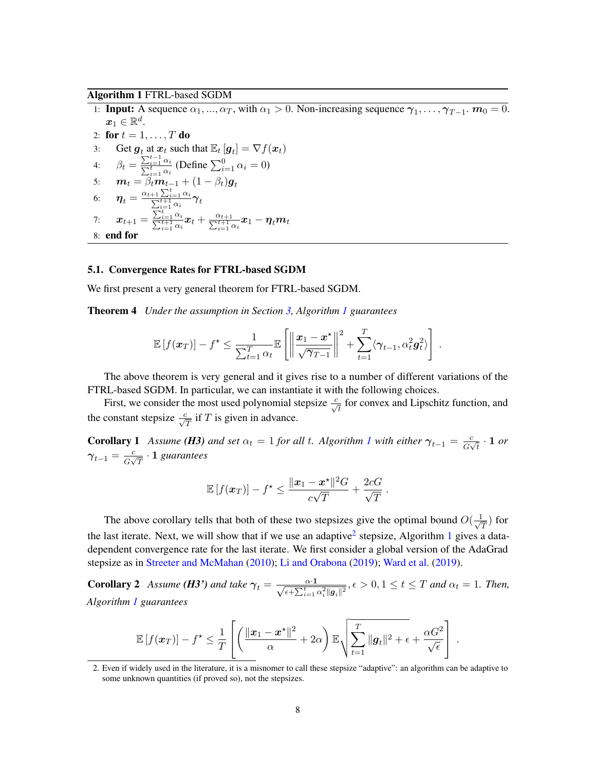#### Algorithm 1 FTRL-based SGDM

<span id="page-7-1"></span>1: **Input:** A sequence  $\alpha_1, ..., \alpha_T$ , with  $\alpha_1 > 0$ . Non-increasing sequence  $\gamma_1, ..., \gamma_{T-1}$ .  $m_0 = 0$ .  $\boldsymbol{x}_1 \in \mathbb{R}^d.$ 2: for  $t = 1, ..., T$  do 3: Get  $g_t$  at  $x_t$  such that  $\mathbb{E}_t [g_t] = \nabla f(x_t)$ 4:  $\beta_t = \frac{\sum_{i=1}^{t-1} \alpha_i}{\sum_{i=1}^{t} \alpha_i}$  (Define  $\sum_{i=1}^{0} \alpha_i = 0$ ) 5:  $\boldsymbol{m}_t = \beta_t \boldsymbol{m}_{t-1} + (1-\beta_t) \boldsymbol{g}_t$ 6:  $\boldsymbol{\eta}_t = \frac{\alpha_{t+1} \sum_{i=1}^t \alpha_i}{\sum_{i=1}^{t+1} \alpha_i} \boldsymbol{\gamma}_t$ 7:  $\bm{x}_{t+1} = \frac{\sum_{i=1}^t \alpha_i}{\sum_{i=1}^{t+1} \alpha_i} \bm{x}_t + \frac{\alpha_{t+1}}{\sum_{i=1}^{t+1} \alpha_i} \bm{x}_1 - \bm{\eta}_t \bm{m}_t$ 8: end for

#### 5.1. Convergence Rates for FTRL-based SGDM

We first present a very general theorem for FTRL-based SGDM.

Theorem 4 *Under the assumption in Section [3,](#page-3-0) Algorithm [1](#page-7-1) guarantees*

<span id="page-7-4"></span>
$$
\mathbb{E}\left[f(\boldsymbol{x}_T)\right] - f^{\star} \leq \frac{1}{\sum_{t=1}^T \alpha_t} \mathbb{E}\left[\left\|\frac{\boldsymbol{x}_1 - \boldsymbol{x}^{\star}}{\sqrt{\gamma_{T-1}}}\right\|^2 + \sum_{t=1}^T \langle \gamma_{t-1}, \alpha_t^2 \boldsymbol{g}_t^2 \rangle\right].
$$

The above theorem is very general and it gives rise to a number of different variations of the FTRL-based SGDM. In particular, we can instantiate it with the following choices.

First, we consider the most used polynomial stepsize  $\frac{c}{\sqrt{t}}$  for convex and Lipschitz function, and the constant stepsize  $\frac{c}{\sqrt{T}}$  if T is given in advance.

**Corollary [1](#page-7-1)** Assume (H3) and set  $\alpha_t = 1$  for all t. Algorithm 1 with either  $\gamma_{t-1} = \frac{c}{G}$  $\frac{c}{G\sqrt{t}}\cdot\mathbf{1}$  or  $\gamma_{t-1} = \frac{c}{G}$  $\frac{c}{G\sqrt{T}}\cdot\mathbf{1}$  guarantees

<span id="page-7-3"></span><span id="page-7-0"></span>
$$
\mathbb{E}[f(\boldsymbol{x}_T)] - f^* \leq \frac{\|\boldsymbol{x}_1 - \boldsymbol{x}^*\|^2 G}{c\sqrt{T}} + \frac{2cG}{\sqrt{T}}.
$$

The above corollary tells that both of these two stepsizes give the optimal bound  $O(\frac{1}{\sqrt{2}})$  $\frac{1}{\overline{T}})$  for the last iterate. Next, we will show that if we use an adaptive<sup>[2](#page-7-2)</sup> stepsize, Algorithm [1](#page-7-1) gives a datadependent convergence rate for the last iterate. We first consider a global version of the AdaGrad stepsize as in [Streeter and McMahan](#page-15-12) [\(2010\)](#page-15-12); [Li and Orabona](#page-14-10) [\(2019\)](#page-14-10); [Ward et al.](#page-15-13) [\(2019\)](#page-15-13).

**Corollary 2** *Assume* (**H3'**) and take  $\gamma_t = \frac{\alpha \cdot 1}{\sqrt{\epsilon + \sum_{i=1}^t \alpha_i^2 ||g_i||^2}}, \epsilon > 0, 1 \le t \le T$  and  $\alpha_t = 1$ . Then, *Algorithm [1](#page-7-1) guarantees*

$$
\mathbb{E}\left[f(\boldsymbol{x}_T)\right] - f^{\star} \leq \frac{1}{T} \left[ \left( \frac{\|\boldsymbol{x}_1 - \boldsymbol{x}^{\star}\|^2}{\alpha} + 2\alpha \right) \mathbb{E} \sqrt{\sum_{t=1}^T \|\boldsymbol{g}_t\|^2 + \epsilon} + \frac{\alpha G^2}{\sqrt{\epsilon}} \right] .
$$

<span id="page-7-2"></span><sup>2.</sup> Even if widely used in the literature, it is a misnomer to call these stepsize "adaptive": an algorithm can be adaptive to some unknown quantities (if proved so), not the stepsizes.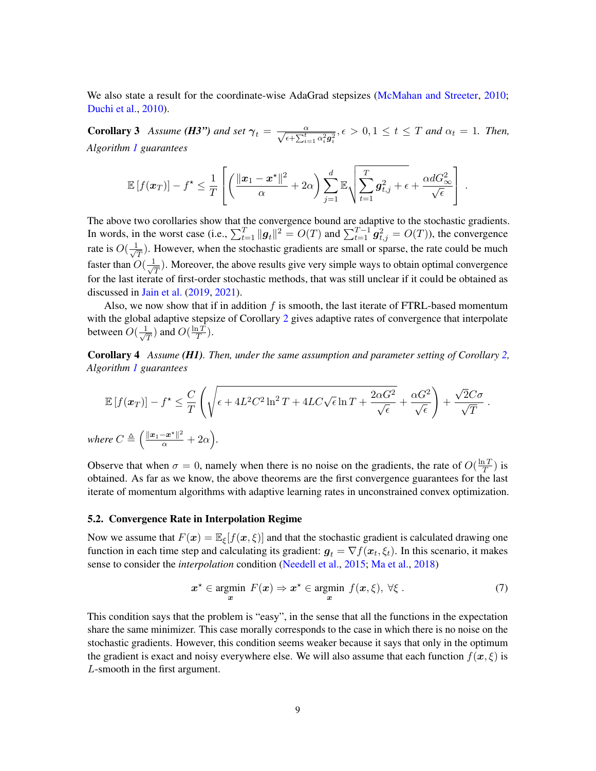We also state a result for the coordinate-wise AdaGrad stepsizes [\(McMahan and Streeter,](#page-14-11) [2010;](#page-14-11) [Duchi et al.,](#page-13-9) [2010\)](#page-13-9).

**Corollary 3** *Assume* (*H3*") and set  $\gamma_t = \frac{\alpha}{\sqrt{\epsilon + \sum_{i=1}^t \alpha_i^2 g_i^2}}, \epsilon > 0, 1 \le t \le T$  and  $\alpha_t = 1$ . Then, *Algorithm [1](#page-7-1) guarantees*

<span id="page-8-3"></span>
$$
\mathbb{E}\left[f(\boldsymbol{x}_T)\right] - f^{\star} \leq \frac{1}{T} \left[ \left( \frac{\|\boldsymbol{x}_1 - \boldsymbol{x}^{\star}\|^2}{\alpha} + 2\alpha \right) \sum_{j=1}^d \mathbb{E}\left\{ \sum_{t=1}^T \boldsymbol{g}_{t,j}^2 + \epsilon + \frac{\alpha d G_{\infty}^2}{\sqrt{\epsilon}} \right\} \right].
$$

The above two corollaries show that the convergence bound are adaptive to the stochastic gradients. In words, in the worst case (i.e.,  $\sum_{t=1}^{T} ||g_t||^2 = O(T)$  and  $\sum_{t=1}^{T-1} g_{t,j}^2 = O(T)$ ), the convergence rate is  $O(\frac{1}{\sqrt{2}})$  $\frac{1}{T}$ ). However, when the stochastic gradients are small or sparse, the rate could be much faster than  $O(\frac{1}{\sqrt{2}})$  $\frac{1}{T}$ ). Moreover, the above results give very simple ways to obtain optimal convergence for the last iterate of first-order stochastic methods, that was still unclear if it could be obtained as discussed in [Jain et al.](#page-14-3) [\(2019,](#page-14-3) [2021\)](#page-14-4).

<span id="page-8-0"></span>Also, we now show that if in addition  $f$  is smooth, the last iterate of FTRL-based momentum with the global adaptive stepsize of Corollary [2](#page-7-3) gives adaptive rates of convergence that interpolate between  $O(\frac{1}{\sqrt{2}})$  $\frac{1}{T}$ ) and  $O(\frac{\ln T}{T})$  $\frac{1T}{T}).$ 

Corollary 4 *Assume (H1). Then, under the same assumption and parameter setting of Corollary [2,](#page-7-3) Algorithm [1](#page-7-1) guarantees*

$$
\mathbb{E}\left[f(\boldsymbol{x}_T)\right] - f^{\star} \leq \frac{C}{T} \left( \sqrt{\epsilon + 4L^2 C^2 \ln^2 T + 4LC\sqrt{\epsilon} \ln T + \frac{2\alpha G^2}{\sqrt{\epsilon}}} + \frac{\alpha G^2}{\sqrt{\epsilon}} \right) + \frac{\sqrt{2}C\sigma}{\sqrt{T}}
$$
  
where  $C \triangleq \left( \frac{\|\boldsymbol{x}_1 - \boldsymbol{x}^{\star}\|^2}{\alpha} + 2\alpha \right)$ .

Observe that when  $\sigma = 0$ , namely when there is no noise on the gradients, the rate of  $O(\frac{\ln T}{T})$  $\frac{1}{T}$ ) is obtained. As far as we know, the above theorems are the first convergence guarantees for the last iterate of momentum algorithms with adaptive learning rates in unconstrained convex optimization.

#### 5.2. Convergence Rate in Interpolation Regime

Now we assume that  $F(\mathbf{x}) = \mathbb{E}_{\xi}[f(\mathbf{x}, \xi)]$  and that the stochastic gradient is calculated drawing one function in each time step and calculating its gradient:  $g_t = \nabla f(x_t, \xi_t)$ . In this scenario, it makes sense to consider the *interpolation* condition [\(Needell et al.,](#page-14-12) [2015;](#page-14-12) [Ma et al.,](#page-14-13) [2018\)](#page-14-13)

<span id="page-8-2"></span>
$$
x^* \in \operatorname*{argmin}_{x} F(x) \Rightarrow x^* \in \operatorname*{argmin}_{x} f(x, \xi), \forall \xi.
$$
 (7)

<span id="page-8-1"></span>.

This condition says that the problem is "easy", in the sense that all the functions in the expectation share the same minimizer. This case morally corresponds to the case in which there is no noise on the stochastic gradients. However, this condition seems weaker because it says that only in the optimum the gradient is exact and noisy everywhere else. We will also assume that each function  $f(x, \xi)$  is L-smooth in the first argument.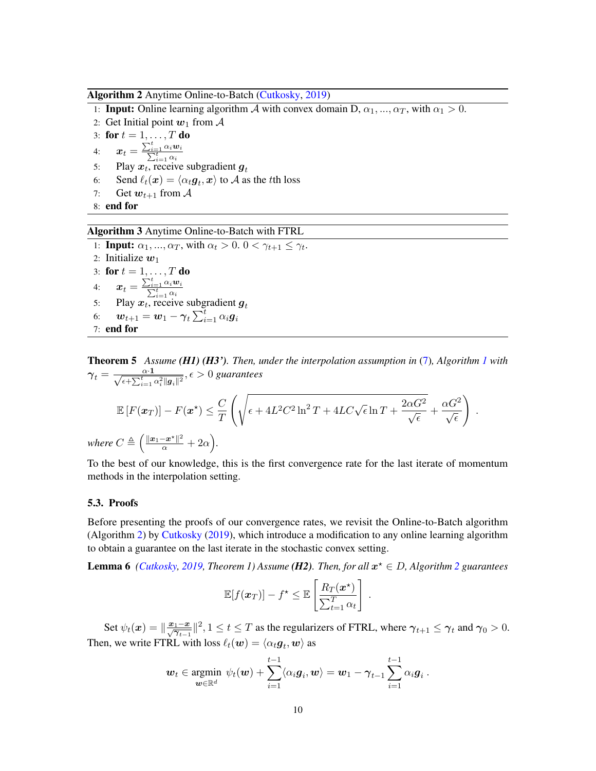Algorithm 2 Anytime Online-to-Batch [\(Cutkosky,](#page-13-4) [2019\)](#page-13-4)

<span id="page-9-0"></span>1: **Input:** Online learning algorithm A with convex domain D,  $\alpha_1, ..., \alpha_T$ , with  $\alpha_1 > 0$ .

2: Get Initial point  $w_1$  from  $A$ 

3: for  $t = 1, \ldots, T$  do 4:  $\bm{x}_t = \frac{\sum_{i=1}^t \alpha_i \bm{w}_i}{\sum_{i=1}^t \alpha_i}$ 5: Play  $x_t$ , receive subgradient  $g_t$ 6: Send  $\ell_t(\boldsymbol{x}) = \langle \alpha_t \boldsymbol{g}_t, \boldsymbol{x} \rangle$  to A as the tth loss 7: Get  $w_{t+1}$  from A 8: end for

Algorithm 3 Anytime Online-to-Batch with FTRL

<span id="page-9-1"></span>1: **Input:**  $\alpha_1, ..., \alpha_T$ , with  $\alpha_t > 0$ .  $0 < \gamma_{t+1} \leq \gamma_t$ . 2: Initialize  $w_1$ 3: for  $t = 1, \ldots, T$  do 4:  $\bm{x}_t = \frac{\sum_{i=1}^t \alpha_i \bm{w}_i}{\sum_{i=1}^t \alpha_i}$ 5: Play  $x_t$ , receive subgradient  $g_t$ 6:  $\boldsymbol{w}_{t+1} = \boldsymbol{w}_1 - \boldsymbol{\gamma}_t \sum_{i=1}^{t} \alpha_i \boldsymbol{g}_i$ 7: end for

Theorem 5 *Assume (H1) (H3'). Then, under the interpolation assumption in* [\(7\)](#page-8-1)*, Algorithm [1](#page-7-1) with*  $\boldsymbol{\gamma}_t = \frac{\alpha \cdot \mathbf{1}}{\sqrt{\epsilon + \sum_{i=1}^t \alpha_i^2 \|\boldsymbol{g}_i\|^2}}, \epsilon > 0$  guarantees

$$
\mathbb{E}\left[F(\boldsymbol{x}_T)\right] - F(\boldsymbol{x}^\star) \leq \frac{C}{T} \left( \sqrt{\epsilon + 4L^2 C^2 \ln^2 T + 4LC\sqrt{\epsilon} \ln T + \frac{2\alpha G^2}{\sqrt{\epsilon}}} + \frac{\alpha G^2}{\sqrt{\epsilon}} \right) .
$$
  
where  $C \triangleq \left( \frac{\|\boldsymbol{x}_1 - \boldsymbol{x}^\star\|^2}{\alpha} + 2\alpha \right)$ .

To the best of our knowledge, this is the first convergence rate for the last iterate of momentum methods in the interpolation setting.

#### 5.3. Proofs

Before presenting the proofs of our convergence rates, we revisit the Online-to-Batch algorithm (Algorithm [2\)](#page-9-0) by [Cutkosky](#page-13-4) [\(2019\)](#page-13-4), which introduce a modification to any online learning algorithm to obtain a guarantee on the last iterate in the stochastic convex setting.

**Lemma 6** *[\(Cutkosky,](#page-13-4) [2019,](#page-13-4) Theorem 1) Assume* (*H[2](#page-9-0)*)*. Then, for all*  $x^* \in D$ *, Algorithm 2 guarantees* 

$$
\mathbb{E}[f(\boldsymbol{x}_T)] - f^* \leq \mathbb{E}\left[\frac{R_T(\boldsymbol{x}^*)}{\sum_{t=1}^T \alpha_t}\right]
$$

<span id="page-9-2"></span>.

Set  $\psi_t(\boldsymbol{x}) = \|\frac{\boldsymbol{x}_1 - \boldsymbol{x}}{\sqrt{\gamma_{t-1}}}\|^2, 1 \le t \le T$  as the regularizers of FTRL, where  $\gamma_{t+1} \le \gamma_t$  and  $\gamma_0 > 0$ . Then, we write FTRL with loss  $\ell_t(\boldsymbol{w}) = \langle \alpha_t \boldsymbol{g}_t, \boldsymbol{w} \rangle$  as

$$
\boldsymbol{w}_t \in \operatornamewithlimits{argmin}_{\boldsymbol{w} \in \mathbb{R}^d} \ \psi_t(\boldsymbol{w}) + \sum_{i=1}^{t-1} \langle \alpha_i \boldsymbol{g}_i, \boldsymbol{w} \rangle = \boldsymbol{w}_1 - \gamma_{t-1} \sum_{i=1}^{t-1} \alpha_i \boldsymbol{g}_i \ .
$$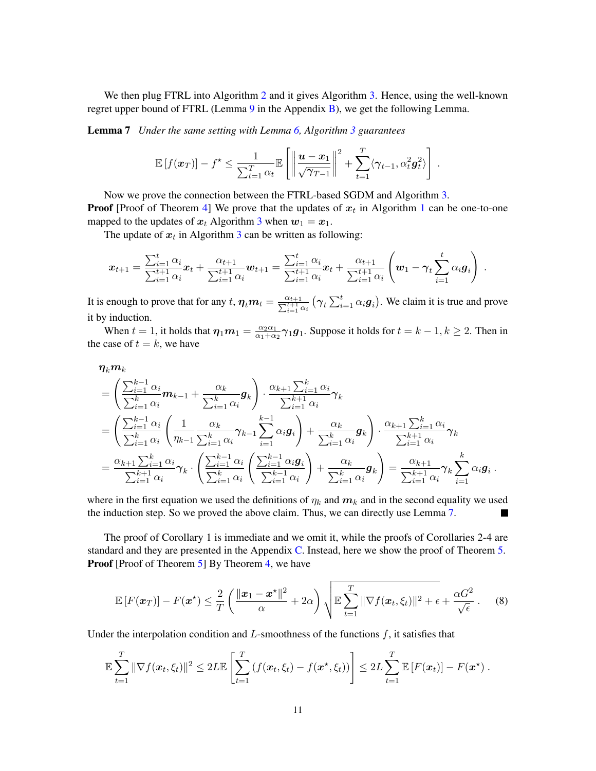We then plug FTRL into Algorithm [2](#page-9-0) and it gives Algorithm [3.](#page-9-1) Hence, using the well-known regret upper bound of FTRL (Lemma [9](#page-16-4) in the Appendix [B\)](#page-16-5), we get the following Lemma.

Lemma 7 *Under the same setting with Lemma [6,](#page-9-2) Algorithm [3](#page-9-1) guarantees*

<span id="page-10-0"></span>
$$
\mathbb{E}\left[f(\boldsymbol{x}_T)\right] - f^{\star} \leq \frac{1}{\sum_{t=1}^T \alpha_t} \mathbb{E}\left[\left\|\frac{\boldsymbol{u} - \boldsymbol{x}_1}{\sqrt{\gamma_{T-1}}}\right\|^2 + \sum_{t=1}^T \langle \gamma_{t-1}, \alpha_t^2 \boldsymbol{g}_t^2 \rangle\right].
$$

Now we prove the connection between the FTRL-based SGDM and Algorithm [3.](#page-9-1) **Proof** [Proof of Theorem [4\]](#page-7-4) We prove that the updates of  $x_t$  in Algorithm [1](#page-7-1) can be one-to-one mapped to the updates of  $x_t$  Algorithm [3](#page-9-1) when  $w_1 = x_1$ .

The update of  $x_t$  in Algorithm [3](#page-9-1) can be written as following:

$$
\boldsymbol{x}_{t+1} = \frac{\sum_{i=1}^{t} \alpha_i}{\sum_{i=1}^{t+1} \alpha_i} \boldsymbol{x}_t + \frac{\alpha_{t+1}}{\sum_{i=1}^{t+1} \alpha_i} \boldsymbol{w}_{t+1} = \frac{\sum_{i=1}^{t} \alpha_i}{\sum_{i=1}^{t+1} \alpha_i} \boldsymbol{x}_t + \frac{\alpha_{t+1}}{\sum_{i=1}^{t+1} \alpha_i} \left( \boldsymbol{w}_1 - \gamma_t \sum_{i=1}^{t} \alpha_i \boldsymbol{g}_i \right) .
$$

It is enough to prove that for any  $t$ ,  $\eta_t m_t = \frac{\alpha_{t+1}}{\sum_{i=1}^{t+1} \alpha_i} (\gamma_t \sum_{i=1}^t \alpha_i g_i)$ . We claim it is true and prove it by induction.

When  $t = 1$ , it holds that  $\eta_1 m_1 = \frac{\alpha_2 \alpha_1}{\alpha_1 + \alpha_2}$  $\frac{\alpha_2 \alpha_1}{\alpha_1 + \alpha_2} \gamma_1 g_1$ . Suppose it holds for  $t = k - 1, k \ge 2$ . Then in the case of  $t = k$ , we have

$$
\pmb{\eta}_k \pmb{m}_k
$$

$$
\begin{split}\n&= \left(\frac{\sum_{i=1}^{k-1}\alpha_i}{\sum_{i=1}^k\alpha_i} \mathbf{m}_{k-1} + \frac{\alpha_k}{\sum_{i=1}^k\alpha_i} \mathbf{g}_k\right) \cdot \frac{\alpha_{k+1} \sum_{i=1}^k \alpha_i}{\sum_{i=1}^{k+1}\alpha_i} \gamma_k \\
&= \left(\frac{\sum_{i=1}^{k-1}\alpha_i}{\sum_{i=1}^k\alpha_i} \left(\frac{1}{\eta_{k-1}} \frac{\alpha_k}{\sum_{i=1}^k\alpha_i} \gamma_{k-1} \sum_{i=1}^{k-1}\alpha_i \mathbf{g}_i\right) + \frac{\alpha_k}{\sum_{i=1}^k\alpha_i} \mathbf{g}_k\right) \cdot \frac{\alpha_{k+1} \sum_{i=1}^k \alpha_i}{\sum_{i=1}^{k+1}\alpha_i} \gamma_k \\
&= \frac{\alpha_{k+1} \sum_{i=1}^k \alpha_i}{\sum_{i=1}^{k+1}\alpha_i} \gamma_k \cdot \left(\frac{\sum_{i=1}^{k-1}\alpha_i}{\sum_{i=1}^k\alpha_i} \left(\frac{\sum_{i=1}^{k-1}\alpha_i \mathbf{g}_i}{\sum_{i=1}^{k-1}\alpha_i}\right) + \frac{\alpha_k}{\sum_{i=1}^k\alpha_i} \mathbf{g}_k\right) = \frac{\alpha_{k+1}}{\sum_{i=1}^{k+1}\alpha_i} \gamma_k \sum_{i=1}^k \alpha_i \mathbf{g}_i .\n\end{split}
$$

where in the first equation we used the definitions of  $\eta_k$  and  $m_k$  and in the second equality we used the induction step. So we proved the above claim. Thus, we can directly use Lemma [7.](#page-10-0)  $\blacksquare$ 

The proof of Corollary 1 is immediate and we omit it, while the proofs of Corollaries 2-4 are standard and they are presented in the Appendix [C.](#page-17-0) Instead, here we show the proof of Theorem [5.](#page-8-2) **Proof** [Proof of Theorem [5\]](#page-8-2) By Theorem [4,](#page-7-4) we have

<span id="page-10-1"></span>
$$
\mathbb{E}\left[F(\boldsymbol{x}_T)\right] - F(\boldsymbol{x}^\star) \leq \frac{2}{T} \left(\frac{\|\boldsymbol{x}_1 - \boldsymbol{x}^\star\|^2}{\alpha} + 2\alpha\right) \sqrt{\mathbb{E}\sum_{t=1}^T \|\nabla f(\boldsymbol{x}_t, \xi_t)\|^2 + \epsilon} + \frac{\alpha G^2}{\sqrt{\epsilon}}\,. \tag{8}
$$

Under the interpolation condition and  $L$ -smoothness of the functions  $f$ , it satisfies that

$$
\mathbb{E}\sum_{t=1}^T \|\nabla f(\boldsymbol{x}_t,\xi_t)\|^2 \leq 2L\mathbb{E}\left[\sum_{t=1}^T \left(f(\boldsymbol{x}_t,\xi_t) - f(\boldsymbol{x}^\star,\xi_t)\right)\right] \leq 2L\sum_{t=1}^T \mathbb{E}\left[F(\boldsymbol{x}_t)\right] - F(\boldsymbol{x}^\star).
$$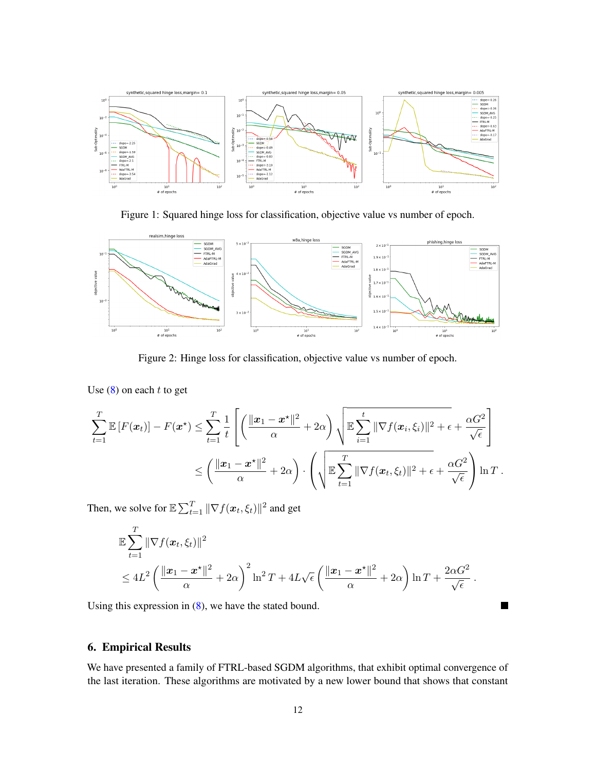

<span id="page-11-1"></span>Figure 1: Squared hinge loss for classification, objective value vs number of epoch.



Figure 2: Hinge loss for classification, objective value vs number of epoch.

Use  $(8)$  on each  $t$  to get

$$
\sum_{t=1}^T \mathbb{E}\left[F(\boldsymbol{x}_t)\right] - F(\boldsymbol{x}^*) \leq \sum_{t=1}^T \frac{1}{t} \left[ \left( \frac{\|\boldsymbol{x}_1 - \boldsymbol{x}^*\|^2}{\alpha} + 2\alpha \right) \sqrt{\frac{\mathbb{E}\sum_{i=1}^t \|\nabla f(\boldsymbol{x}_i, \xi_i)\|^2 + \epsilon} + \frac{\alpha G^2}{\sqrt{\epsilon}}} \right] \leq \left( \frac{\|\boldsymbol{x}_1 - \boldsymbol{x}^*\|^2}{\alpha} + 2\alpha \right) \cdot \left( \sqrt{\frac{\mathbb{E}\sum_{t=1}^T \|\nabla f(\boldsymbol{x}_t, \xi_t)\|^2 + \epsilon} + \frac{\alpha G^2}{\sqrt{\epsilon}}} \right) \ln T \,.
$$

Then, we solve for  $\mathbb{E} \sum_{t=1}^T \|\nabla f(\boldsymbol{x}_t, \xi_t)\|^2$  and get

$$
\mathbb{E}\sum_{t=1}^T \|\nabla f(\boldsymbol{x}_t, \xi_t)\|^2
$$
  
\$\leq 4L^2 \left(\frac{\|\boldsymbol{x}\_1 - \boldsymbol{x}^\star\|^2}{\alpha} + 2\alpha\right)^2 \ln^2 T + 4L\sqrt{\epsilon} \left(\frac{\|\boldsymbol{x}\_1 - \boldsymbol{x}^\star\|^2}{\alpha} + 2\alpha\right) \ln T + \frac{2\alpha G^2}{\sqrt{\epsilon}}\$ .

<span id="page-11-2"></span>

Using this expression in [\(8\)](#page-10-1), we have the stated bound.

## <span id="page-11-0"></span>6. Empirical Results

We have presented a family of FTRL-based SGDM algorithms, that exhibit optimal convergence of the last iteration. These algorithms are motivated by a new lower bound that shows that constant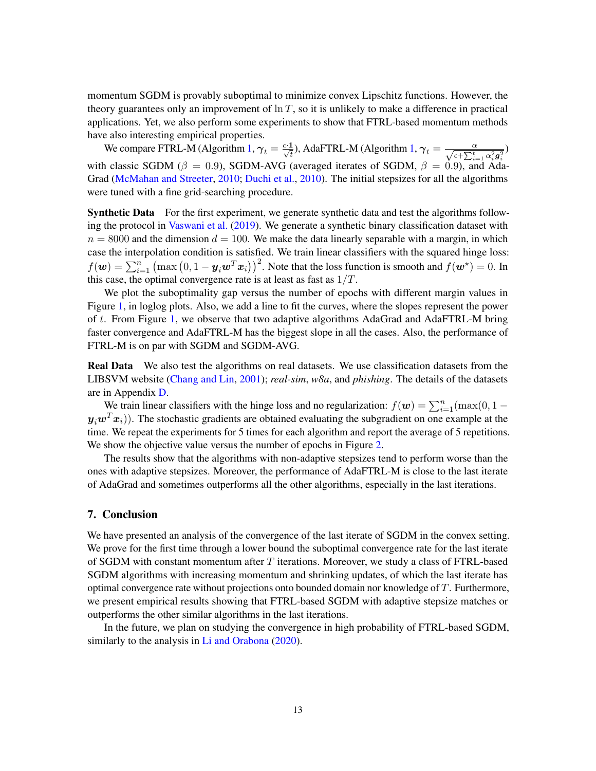momentum SGDM is provably suboptimal to minimize convex Lipschitz functions. However, the theory guarantees only an improvement of  $\ln T$ , so it is unlikely to make a difference in practical applications. Yet, we also perform some experiments to show that FTRL-based momentum methods have also interesting empirical properties.

We compare FTRL-M (Algorithm [1,](#page-7-1)  $\gamma_t = \frac{c \cdot 1}{\sqrt{t}}$ ), AdaFTRL-M (Algorithm 1,  $\gamma_t = \frac{\alpha}{\sqrt{\epsilon + \sum_{i=1}^t \alpha_i^2 g_i^2}}$ ) with classic SGDM ( $\beta = 0.9$ ), SGDM-AVG (averaged iterates of SGDM,  $\beta = 0.9$ ), and Ada-Grad [\(McMahan and Streeter,](#page-14-11) [2010;](#page-14-11) [Duchi et al.,](#page-13-9) [2010\)](#page-13-9). The initial stepsizes for all the algorithms were tuned with a fine grid-searching procedure.

Synthetic Data For the first experiment, we generate synthetic data and test the algorithms following the protocol in [Vaswani et al.](#page-15-14) [\(2019\)](#page-15-14). We generate a synthetic binary classification dataset with  $n = 8000$  and the dimension  $d = 100$ . We make the data linearly separable with a margin, in which case the interpolation condition is satisfied. We train linear classifiers with the squared hinge loss:  $f(\boldsymbol{w}) = \sum_{i=1}^{n} (\max(0, 1 - y_i \boldsymbol{w}^T \boldsymbol{x}_i))^2$ . Note that the loss function is smooth and  $f(\boldsymbol{w}^*) = 0$ . In this case, the optimal convergence rate is at least as fast as  $1/T$ .

We plot the suboptimality gap versus the number of epochs with different margin values in Figure [1,](#page-11-1) in loglog plots. Also, we add a line to fit the curves, where the slopes represent the power of t. From Figure [1,](#page-11-1) we observe that two adaptive algorithms AdaGrad and AdaFTRL-M bring faster convergence and AdaFTRL-M has the biggest slope in all the cases. Also, the performance of FTRL-M is on par with SGDM and SGDM-AVG.

Real Data We also test the algorithms on real datasets. We use classification datasets from the LIBSVM website [\(Chang and Lin,](#page-13-10) [2001\)](#page-13-10); *real-sim*, *w8a*, and *phishing*. The details of the datasets are in Appendix [D.](#page-18-1)

We train linear classifiers with the hinge loss and no regularization:  $f(\boldsymbol{w}) = \sum_{i=1}^{n} (\max(0, 1 - \hat{w})$  $y_i\mathbf{w}^T\mathbf{x}_i$ ). The stochastic gradients are obtained evaluating the subgradient on one example at the time. We repeat the experiments for 5 times for each algorithm and report the average of 5 repetitions. We show the objective value versus the number of epochs in Figure [2.](#page-11-2)

The results show that the algorithms with non-adaptive stepsizes tend to perform worse than the ones with adaptive stepsizes. Moreover, the performance of AdaFTRL-M is close to the last iterate of AdaGrad and sometimes outperforms all the other algorithms, especially in the last iterations.

## <span id="page-12-0"></span>7. Conclusion

We have presented an analysis of the convergence of the last iterate of SGDM in the convex setting. We prove for the first time through a lower bound the suboptimal convergence rate for the last iterate of SGDM with constant momentum after  $T$  iterations. Moreover, we study a class of FTRL-based SGDM algorithms with increasing momentum and shrinking updates, of which the last iterate has optimal convergence rate without projections onto bounded domain nor knowledge of  $T$ . Furthermore, we present empirical results showing that FTRL-based SGDM with adaptive stepsize matches or outperforms the other similar algorithms in the last iterations.

In the future, we plan on studying the convergence in high probability of FTRL-based SGDM, similarly to the analysis in [Li and Orabona](#page-14-14) [\(2020\)](#page-14-14).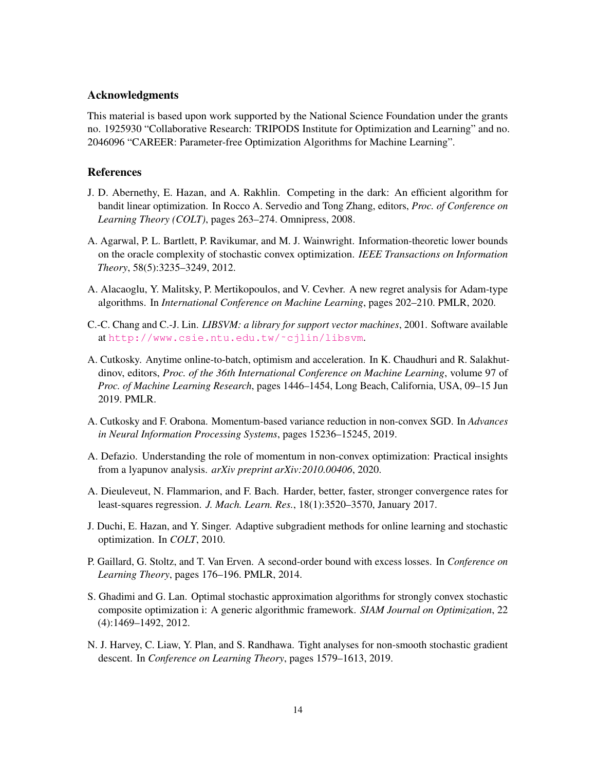## Acknowledgments

This material is based upon work supported by the National Science Foundation under the grants no. 1925930 "Collaborative Research: TRIPODS Institute for Optimization and Learning" and no. 2046096 "CAREER: Parameter-free Optimization Algorithms for Machine Learning".

## References

- <span id="page-13-5"></span>J. D. Abernethy, E. Hazan, and A. Rakhlin. Competing in the dark: An efficient algorithm for bandit linear optimization. In Rocco A. Servedio and Tong Zhang, editors, *Proc. of Conference on Learning Theory (COLT)*, pages 263–274. Omnipress, 2008.
- <span id="page-13-8"></span>A. Agarwal, P. L. Bartlett, P. Ravikumar, and M. J. Wainwright. Information-theoretic lower bounds on the oracle complexity of stochastic convex optimization. *IEEE Transactions on Information Theory*, 58(5):3235–3249, 2012.
- <span id="page-13-0"></span>A. Alacaoglu, Y. Malitsky, P. Mertikopoulos, and V. Cevher. A new regret analysis for Adam-type algorithms. In *International Conference on Machine Learning*, pages 202–210. PMLR, 2020.
- <span id="page-13-10"></span>C.-C. Chang and C.-J. Lin. *LIBSVM: a library for support vector machines*, 2001. Software available at [http://www.csie.ntu.edu.tw/˜cjlin/libsvm](http://www.csie.ntu.edu.tw/~cjlin/libsvm).
- <span id="page-13-4"></span>A. Cutkosky. Anytime online-to-batch, optimism and acceleration. In K. Chaudhuri and R. Salakhutdinov, editors, *Proc. of the 36th International Conference on Machine Learning*, volume 97 of *Proc. of Machine Learning Research*, pages 1446–1454, Long Beach, California, USA, 09–15 Jun 2019. PMLR.
- <span id="page-13-6"></span>A. Cutkosky and F. Orabona. Momentum-based variance reduction in non-convex SGD. In *Advances in Neural Information Processing Systems*, pages 15236–15245, 2019.
- <span id="page-13-3"></span>A. Defazio. Understanding the role of momentum in non-convex optimization: Practical insights from a lyapunov analysis. *arXiv preprint arXiv:2010.00406*, 2020.
- <span id="page-13-1"></span>A. Dieuleveut, N. Flammarion, and F. Bach. Harder, better, faster, stronger convergence rates for least-squares regression. *J. Mach. Learn. Res.*, 18(1):3520–3570, January 2017.
- <span id="page-13-9"></span>J. Duchi, E. Hazan, and Y. Singer. Adaptive subgradient methods for online learning and stochastic optimization. In *COLT*, 2010.
- <span id="page-13-11"></span>P. Gaillard, G. Stoltz, and T. Van Erven. A second-order bound with excess losses. In *Conference on Learning Theory*, pages 176–196. PMLR, 2014.
- <span id="page-13-2"></span>S. Ghadimi and G. Lan. Optimal stochastic approximation algorithms for strongly convex stochastic composite optimization i: A generic algorithmic framework. *SIAM Journal on Optimization*, 22 (4):1469–1492, 2012.
- <span id="page-13-7"></span>N. J. Harvey, C. Liaw, Y. Plan, and S. Randhawa. Tight analyses for non-smooth stochastic gradient descent. In *Conference on Learning Theory*, pages 1579–1613, 2019.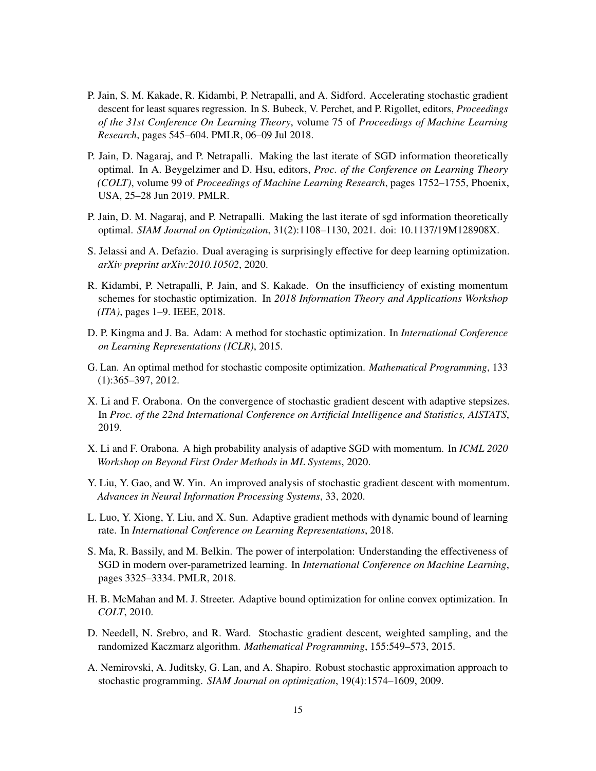- <span id="page-14-2"></span>P. Jain, S. M. Kakade, R. Kidambi, P. Netrapalli, and A. Sidford. Accelerating stochastic gradient descent for least squares regression. In S. Bubeck, V. Perchet, and P. Rigollet, editors, *Proceedings of the 31st Conference On Learning Theory*, volume 75 of *Proceedings of Machine Learning Research*, pages 545–604. PMLR, 06–09 Jul 2018.
- <span id="page-14-3"></span>P. Jain, D. Nagaraj, and P. Netrapalli. Making the last iterate of SGD information theoretically optimal. In A. Beygelzimer and D. Hsu, editors, *Proc. of the Conference on Learning Theory (COLT)*, volume 99 of *Proceedings of Machine Learning Research*, pages 1752–1755, Phoenix, USA, 25–28 Jun 2019. PMLR.
- <span id="page-14-4"></span>P. Jain, D. M. Nagaraj, and P. Netrapalli. Making the last iterate of sgd information theoretically optimal. *SIAM Journal on Optimization*, 31(2):1108–1130, 2021. doi: 10.1137/19M128908X.
- <span id="page-14-7"></span>S. Jelassi and A. Defazio. Dual averaging is surprisingly effective for deep learning optimization. *arXiv preprint arXiv:2010.10502*, 2020.
- <span id="page-14-6"></span>R. Kidambi, P. Netrapalli, P. Jain, and S. Kakade. On the insufficiency of existing momentum schemes for stochastic optimization. In *2018 Information Theory and Applications Workshop (ITA)*, pages 1–9. IEEE, 2018.
- <span id="page-14-0"></span>D. P. Kingma and J. Ba. Adam: A method for stochastic optimization. In *International Conference on Learning Representations (ICLR)*, 2015.
- <span id="page-14-9"></span>G. Lan. An optimal method for stochastic composite optimization. *Mathematical Programming*, 133 (1):365–397, 2012.
- <span id="page-14-10"></span>X. Li and F. Orabona. On the convergence of stochastic gradient descent with adaptive stepsizes. In *Proc. of the 22nd International Conference on Artificial Intelligence and Statistics, AISTATS*, 2019.
- <span id="page-14-14"></span>X. Li and F. Orabona. A high probability analysis of adaptive SGD with momentum. In *ICML 2020 Workshop on Beyond First Order Methods in ML Systems*, 2020.
- <span id="page-14-1"></span>Y. Liu, Y. Gao, and W. Yin. An improved analysis of stochastic gradient descent with momentum. *Advances in Neural Information Processing Systems*, 33, 2020.
- <span id="page-14-5"></span>L. Luo, Y. Xiong, Y. Liu, and X. Sun. Adaptive gradient methods with dynamic bound of learning rate. In *International Conference on Learning Representations*, 2018.
- <span id="page-14-13"></span>S. Ma, R. Bassily, and M. Belkin. The power of interpolation: Understanding the effectiveness of SGD in modern over-parametrized learning. In *International Conference on Machine Learning*, pages 3325–3334. PMLR, 2018.
- <span id="page-14-11"></span>H. B. McMahan and M. J. Streeter. Adaptive bound optimization for online convex optimization. In *COLT*, 2010.
- <span id="page-14-12"></span>D. Needell, N. Srebro, and R. Ward. Stochastic gradient descent, weighted sampling, and the randomized Kaczmarz algorithm. *Mathematical Programming*, 155:549–573, 2015.
- <span id="page-14-8"></span>A. Nemirovski, A. Juditsky, G. Lan, and A. Shapiro. Robust stochastic approximation approach to stochastic programming. *SIAM Journal on optimization*, 19(4):1574–1609, 2009.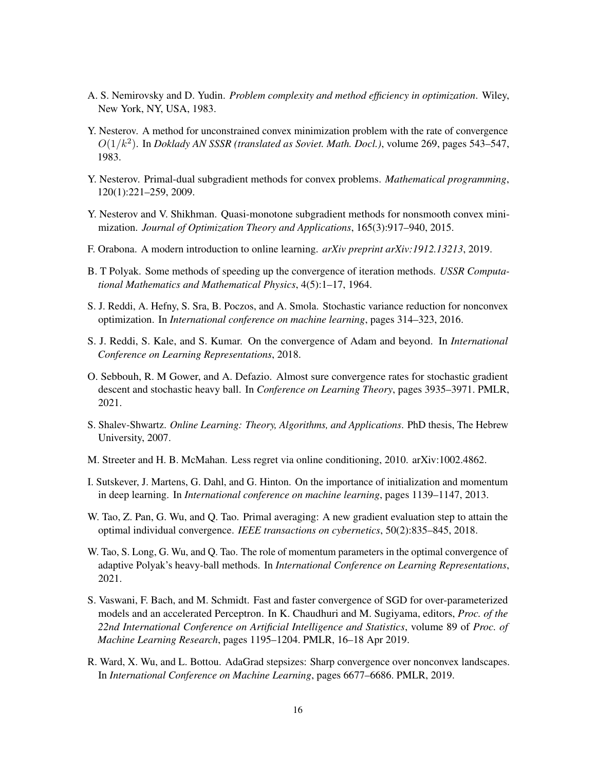- <span id="page-15-5"></span>A. S. Nemirovsky and D. Yudin. *Problem complexity and method efficiency in optimization*. Wiley, New York, NY, USA, 1983.
- <span id="page-15-1"></span>Y. Nesterov. A method for unconstrained convex minimization problem with the rate of convergence  $O(1/k^2)$ . In *Doklady AN SSSR (translated as Soviet. Math. Docl.)*, volume 269, pages 543–547, 1983.
- <span id="page-15-8"></span>Y. Nesterov. Primal-dual subgradient methods for convex problems. *Mathematical programming*, 120(1):221–259, 2009.
- <span id="page-15-3"></span>Y. Nesterov and V. Shikhman. Quasi-monotone subgradient methods for nonsmooth convex minimization. *Journal of Optimization Theory and Applications*, 165(3):917–940, 2015.
- <span id="page-15-15"></span>F. Orabona. A modern introduction to online learning. *arXiv preprint arXiv:1912.13213*, 2019.
- <span id="page-15-0"></span>B. T Polyak. Some methods of speeding up the convergence of iteration methods. *USSR Computational Mathematics and Mathematical Physics*, 4(5):1–17, 1964.
- <span id="page-15-2"></span>S. J. Reddi, A. Hefny, S. Sra, B. Poczos, and A. Smola. Stochastic variance reduction for nonconvex optimization. In *International conference on machine learning*, pages 314–323, 2016.
- <span id="page-15-9"></span>S. J. Reddi, S. Kale, and S. Kumar. On the convergence of Adam and beyond. In *International Conference on Learning Representations*, 2018.
- <span id="page-15-11"></span>O. Sebbouh, R. M Gower, and A. Defazio. Almost sure convergence rates for stochastic gradient descent and stochastic heavy ball. In *Conference on Learning Theory*, pages 3935–3971. PMLR, 2021.
- <span id="page-15-6"></span>S. Shalev-Shwartz. *Online Learning: Theory, Algorithms, and Applications*. PhD thesis, The Hebrew University, 2007.
- <span id="page-15-12"></span>M. Streeter and H. B. McMahan. Less regret via online conditioning, 2010. arXiv:1002.4862.
- <span id="page-15-7"></span>I. Sutskever, J. Martens, G. Dahl, and G. Hinton. On the importance of initialization and momentum in deep learning. In *International conference on machine learning*, pages 1139–1147, 2013.
- <span id="page-15-4"></span>W. Tao, Z. Pan, G. Wu, and Q. Tao. Primal averaging: A new gradient evaluation step to attain the optimal individual convergence. *IEEE transactions on cybernetics*, 50(2):835–845, 2018.
- <span id="page-15-10"></span>W. Tao, S. Long, G. Wu, and Q. Tao. The role of momentum parameters in the optimal convergence of adaptive Polyak's heavy-ball methods. In *International Conference on Learning Representations*, 2021.
- <span id="page-15-14"></span>S. Vaswani, F. Bach, and M. Schmidt. Fast and faster convergence of SGD for over-parameterized models and an accelerated Perceptron. In K. Chaudhuri and M. Sugiyama, editors, *Proc. of the 22nd International Conference on Artificial Intelligence and Statistics*, volume 89 of *Proc. of Machine Learning Research*, pages 1195–1204. PMLR, 16–18 Apr 2019.
- <span id="page-15-13"></span>R. Ward, X. Wu, and L. Bottou. AdaGrad stepsizes: Sharp convergence over nonconvex landscapes. In *International Conference on Machine Learning*, pages 6677–6686. PMLR, 2019.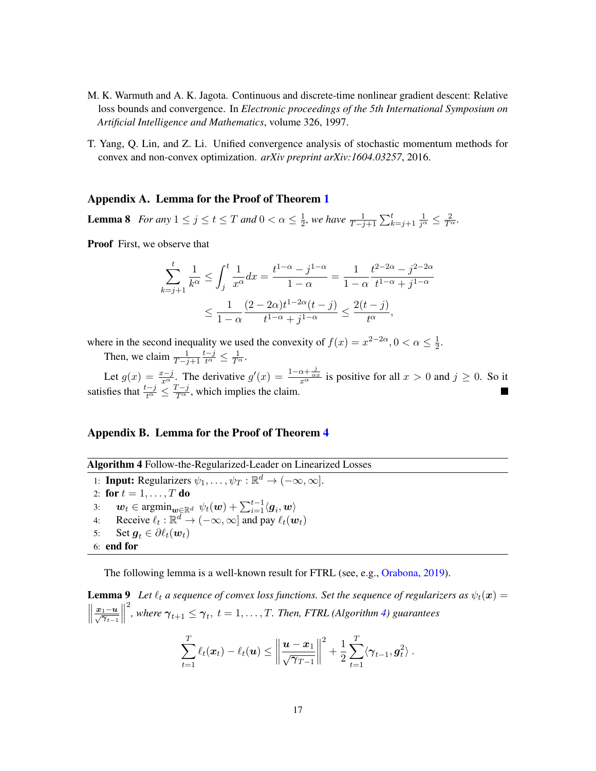- <span id="page-16-0"></span>M. K. Warmuth and A. K. Jagota. Continuous and discrete-time nonlinear gradient descent: Relative loss bounds and convergence. In *Electronic proceedings of the 5th International Symposium on Artificial Intelligence and Mathematics*, volume 326, 1997.
- <span id="page-16-1"></span>T. Yang, Q. Lin, and Z. Li. Unified convergence analysis of stochastic momentum methods for convex and non-convex optimization. *arXiv preprint arXiv:1604.03257*, 2016.

#### <span id="page-16-3"></span>Appendix A. Lemma for the Proof of Theorem [1](#page-4-3)

<span id="page-16-2"></span>**Lemma 8** *For any*  $1 \leq j \leq t \leq T$  *and*  $0 < \alpha \leq \frac{1}{2}$  $\frac{1}{2}$ , we have  $\frac{1}{T-j+1} \sum_{k=j+1}^{t} \frac{1}{j^{\alpha}} \leq \frac{2}{T^{\alpha}}$ .

Proof First, we observe that

$$
\sum_{k=j+1}^{t} \frac{1}{k^{\alpha}} \le \int_{j}^{t} \frac{1}{x^{\alpha}} dx = \frac{t^{1-\alpha} - j^{1-\alpha}}{1-\alpha} = \frac{1}{1-\alpha} \frac{t^{2-2\alpha} - j^{2-2\alpha}}{t^{1-\alpha} + j^{1-\alpha}}
$$

$$
\le \frac{1}{1-\alpha} \frac{(2-2\alpha)t^{1-2\alpha}(t-j)}{t^{1-\alpha} + j^{1-\alpha}} \le \frac{2(t-j)}{t^{\alpha}},
$$

where in the second inequality we used the convexity of  $f(x) = x^{2-2\alpha}, 0 < \alpha \leq \frac{1}{2}$  $\frac{1}{2}$ .

Then, we claim  $\frac{1}{T-j+1} \frac{t-j}{t^{\alpha}} \leq \frac{1}{T^{\alpha}}$ .  $\overline{T-j+1}$ 

Let  $g(x) = \frac{x-j}{x^{\alpha}}$ . The derivative  $g'(x) = \frac{1-\alpha+\frac{j}{x^{\alpha}}}{x^{\alpha}}$  is positive for all  $x > 0$  and  $j \ge 0$ . So it satisfies that  $\frac{t-j}{t^{\alpha}} \leq \frac{T-j}{T^{\alpha}}$ , which implies the claim.

## <span id="page-16-5"></span>Appendix B. Lemma for the Proof of Theorem [4](#page-7-4)

Algorithm 4 Follow-the-Regularized-Leader on Linearized Losses

<span id="page-16-6"></span>1: **Input:** Regularizers  $\psi_1, \dots, \psi_T : \mathbb{R}^d \to (-\infty, \infty]$ . 2: for  $t = 1, \ldots, T$  do 3:  $\boldsymbol{w}_t \in \mathop{\rm argmin}_{\boldsymbol{w} \in \mathbb{R}^d} \ \psi_t(\boldsymbol{w}) + \sum_{i=1}^{t-1} \langle \boldsymbol{g}_i, \boldsymbol{w} \rangle$ 4: Receive  $\ell_t : \mathbb{R}^d \to (-\infty, \infty]$  and pay  $\ell_t(\boldsymbol{w}_t)$ 5: Set  $g_t \in \partial \ell_t(\boldsymbol{w}_t)$ 6: end for

The following lemma is a well-known result for FTRL (see, e.g., [Orabona,](#page-15-15) [2019\)](#page-15-15).

**Lemma 9** Let  $\ell_t$  a sequence of convex loss functions. Set the sequence of regularizers as  $\psi_t(x) =$  $\left\Vert \frac{\boldsymbol{x}_{1}-\boldsymbol{u}}{\sqrt{\gamma_{t-1}}}\right\Vert$  $^2$ , where  $\boldsymbol{\gamma}_{t+1} \leq \boldsymbol{\gamma}_t$ ,  $t = 1, \ldots, T$ . Then, FTRL (Algorithm [4\)](#page-16-6) guarantees T 2  $\overline{a}$ 

<span id="page-16-4"></span>
$$
\sum_{t=1}^I \ell_t(\boldsymbol{x}_t) - \ell_t(\boldsymbol{u}) \leq \left\| \frac{\boldsymbol{u} - \boldsymbol{x}_1}{\sqrt{\gamma_{T-1}}} \right\|^2 + \frac{1}{2} \sum_{t=1}^I \langle \gamma_{t-1}, \boldsymbol{g}_t^2 \rangle.
$$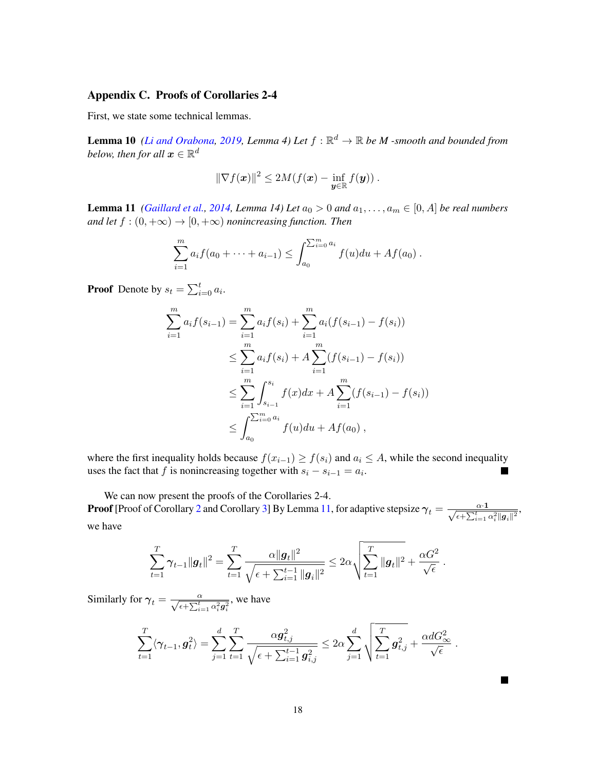## <span id="page-17-0"></span>Appendix C. Proofs of Corollaries 2-4

<span id="page-17-2"></span>First, we state some technical lemmas.

**Lemma 10** [\(Li and Orabona,](#page-14-10) [2019,](#page-14-10) Lemma 4) Let  $f : \mathbb{R}^d \to \mathbb{R}$  be M -smooth and bounded from below, then for all  $\boldsymbol{x} \in \mathbb{R}^d$ 

$$
\|\nabla f(\boldsymbol{x})\|^2 \le 2M(f(\boldsymbol{x}) - \inf_{\boldsymbol{y}\in\mathbb{R}} f(\boldsymbol{y}))\;.
$$

<span id="page-17-1"></span>**Lemma 11** *[\(Gaillard et al.,](#page-13-11) [2014,](#page-13-11) Lemma 14) Let*  $a_0 > 0$  *and*  $a_1, \ldots, a_m \in [0, A]$  *be real numbers and let*  $f : (0, +\infty) \to [0, +\infty)$  *nonincreasing function. Then* 

$$
\sum_{i=1}^m a_i f(a_0 + \dots + a_{i-1}) \leq \int_{a_0}^{\sum_{i=0}^m a_i} f(u) du + Af(a_0) .
$$

**Proof** Denote by  $s_t = \sum_{i=0}^t a_i$ .

$$
\sum_{i=1}^{m} a_i f(s_{i-1}) = \sum_{i=1}^{m} a_i f(s_i) + \sum_{i=1}^{m} a_i (f(s_{i-1}) - f(s_i))
$$
  
\n
$$
\leq \sum_{i=1}^{m} a_i f(s_i) + A \sum_{i=1}^{m} (f(s_{i-1}) - f(s_i))
$$
  
\n
$$
\leq \sum_{i=1}^{m} \int_{s_{i-1}}^{s_i} f(x) dx + A \sum_{i=1}^{m} (f(s_{i-1}) - f(s_i))
$$
  
\n
$$
\leq \int_{a_0}^{\sum_{i=0}^{m} a_i} f(u) du + Af(a_0),
$$

where the first inequality holds because  $f(x_{i-1}) \ge f(s_i)$  and  $a_i \le A$ , while the second inequality uses the fact that f is nonincreasing together with  $s_i - s_{i-1} = a_i$ .  $\blacksquare$ 

We can now present the proofs of the Corollaries 2-4. **Proof** [Proof of Corollary [2](#page-7-3) and Corollary [3\]](#page-8-3) By Lemma [11,](#page-17-1) for adaptive stepsize  $\gamma_t = \frac{\alpha \cdot 1}{\sqrt{\epsilon + \sum_{i=1}^t \alpha_i^2 ||g_i||^2}}$ , we have

$$
\sum_{t=1}^T \gamma_{t-1} \|g_t\|^2 = \sum_{t=1}^T \frac{\alpha \|g_t\|^2}{\sqrt{\epsilon + \sum_{i=1}^{t-1} \|g_i\|^2}} \leq 2\alpha \sqrt{\sum_{t=1}^T \|g_t\|^2} + \frac{\alpha G^2}{\sqrt{\epsilon}}.
$$

Similarly for  $\gamma_t = \frac{\alpha}{\sqrt{\epsilon + \sum_{i=1}^t \alpha_i^2 g_i^2}}$ , we have

$$
\sum_{t=1}^T \langle \boldsymbol{\gamma}_{t-1}, \boldsymbol{g}_t^2 \rangle = \sum_{j=1}^d \sum_{t=1}^T \frac{\alpha \boldsymbol{g}_{t,j}^2}{\sqrt{\epsilon + \sum_{i=1}^{t-1} \boldsymbol{g}_{i,j}^2}} \leq 2\alpha \sum_{j=1}^d \sqrt{\sum_{t=1}^T \boldsymbol{g}_{t,j}^2} + \frac{\alpha d G_{\infty}^2}{\sqrt{\epsilon}}~.
$$

 $\blacksquare$